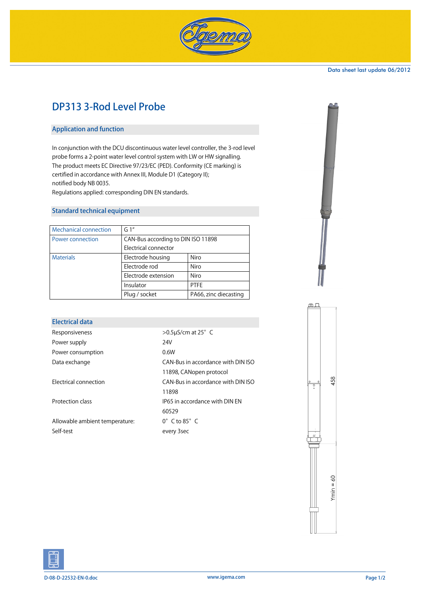

#### Data sheet last update 06/2012

# DP313 3-Rod Level Probe

## Application and function

In conjunction with the DCU discontinuous water level controller, the 3-rod level probe forms a 2-point water level control system with LW or HW signalling. The product meets EC Directive 97/23/EC (PED). Conformity (CE marking) is certified in accordance with Annex III, Module D1 (Category II); notified body NB 0035.

Regulations applied: corresponding DIN EN standards.

## Standard technical equipment

| <b>Mechanical connection</b> | G1''                               |                       |  |
|------------------------------|------------------------------------|-----------------------|--|
| Power connection             | CAN-Bus according to DIN ISO 11898 |                       |  |
|                              | Electrical connector               |                       |  |
| <b>Materials</b>             | Electrode housing                  | Niro                  |  |
|                              | Electrode rod                      | Niro                  |  |
|                              | Electrode extension                | Niro                  |  |
|                              | Insulator                          | <b>PTFF</b>           |  |
|                              | Plug / socket                      | PA66, zinc diecasting |  |

#### Electrical data

| Responsiveness                 | $>0.5$ µS/cm at 25 $^{\circ}$ C    |  |
|--------------------------------|------------------------------------|--|
| Power supply                   | 24V                                |  |
| Power consumption              | 0.6W                               |  |
| Data exchange                  | CAN-Bus in accordance with DIN ISO |  |
|                                | 11898, CANopen protocol            |  |
| Electrical connection          | CAN-Bus in accordance with DIN ISO |  |
|                                | 11898                              |  |
| Protection class               | IP65 in accordance with DIN FN     |  |
|                                | 60529                              |  |
| Allowable ambient temperature: | $0^{\circ}$ C to $85^{\circ}$ C    |  |
| Self-test                      | every 3sec                         |  |